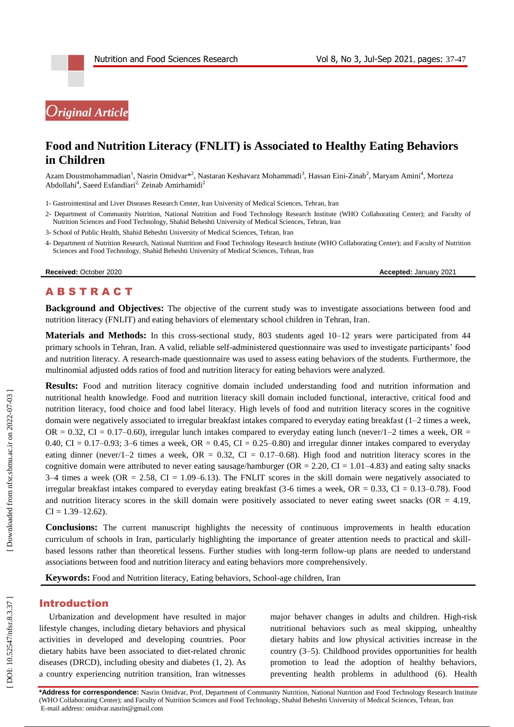# *Original Article*

## **Food and Nutrition Literacy (FNLIT) is Associated to Healthy Eating Behaviors in Children**

Azam Doustmohammadian<sup>1</sup>, Nasrin Omidvar\*<sup>2</sup>, Nastaran Keshavarz Mohammadi<sup>3</sup>, Hassan Eini-Zinab<sup>2</sup>, Maryam Amini<sup>4</sup>, Morteza Abdollahi<sup>4</sup>, Saeed Esfandiari<sup>2,</sup> Zeinab Amirhamidi<sup>2</sup>

1 - Gastrointestinal and Liver Diseases Research Center, Iran University of Medical Sciences, Tehran, Iran

- 2 Department of Community Nutrition, National Nutrition and Food Technology Research Institute (WHO Collaborating Center); and Faculty of Nutrition Sciences and Food Technology, Shahid Beheshti University of Medical Sciences, Tehran, Iran
- 3 School of Public Health, Shahid Beheshti University of Medical Sciences, Tehran, Iran
- 4 Department of Nutrition Research, National Nutrition and Food Technology Research Institute (WHO Collaborating Center); and Faculty of Nutrition Sciences and Food Technology, Shahid Beheshti University of Medical Sciences, Tehran, Iran

**Received:** October 2020 **Accepted: January 2021** 

### **ABSTRACT**

**Background and Objectives:** The objective of the current study was to investigate associations between food and nutrition literacy (FNLIT) and eating behaviors of elementary school children in Tehran, Iran .

Materials and Methods: In this cross-sectional study, 803 students aged 10-12 years were participated from 44 primary schools in Tehran, Iran. A valid, reliable self-administered questionnaire was used to investigate participants' food and nutrition literacy. A research -made questionnaire was used to assess eating behaviors of the students. Furthermore, the multinomial adjusted odds ratios of food and nutrition literacy for eating behaviors were analyzed.

**Results:** Food and nutrition literacy cognitive domain included understanding food and nutrition information and nutritional health knowledge. Food and nutrition literacy skill domain included functional, interactive, critical food and nutrition literacy, food choice and food label literacy. High levels of food and nutrition literacy scores in the cognitive domain were negatively associated to irregular breakfast intakes compared to everyday eating breakfast (1 –2 times a week, OR  $= 0.32$ , CI  $= 0.17$ –0.60), irregular lunch intakes compared to everyday eating lunch (never/1–2 times a week, OR  $=$  $0.40$ , CI =  $0.17-0.93$ ; 3–6 times a week, OR =  $0.45$ , CI =  $0.25-0.80$ ) and irregular dinner intakes compared to everyday eating dinner (never/1–2 times a week,  $OR = 0.32$ ,  $CI = 0.17$ –0.68). High food and nutrition literacy scores in the cognitive domain were attributed to never eating sausage/hamburger ( $OR = 2.20$ ,  $CI = 1.01 - 4.83$ ) and eating salty snacks  $3-4$  times a week (OR = 2.58, CI = 1.09–6.13). The FNLIT scores in the skill domain were negatively associated to irregular breakfast intakes compared to everyday eating breakfast  $(3-6 \text{ times a week}, \text{OR} = 0.33, \text{CI} = 0.13-0.78)$ . Food and nutrition literacy scores in the skill domain were positively associated to never eating sweet snacks (OR  $=$  4.19,  $CI = 1.39 - 12.62$ ).

**Conclusions:** The current manuscript highlights the necessity of continuous improvements in health education curriculum of schools in Iran, particularly highlighting the importance of greater attention needs to practical and skill based lessons rather than theoretical lessens. Further studies with long -term follow -up plans are needed to understand associations between food and nutrition literacy and eating behaviors more comprehensively.

Keywords: Food and Nutrition literacy, Eating behaviors, School-age children, Iran

### Introduction

Urbanization and development have resulted in major lifestyle changes, including dietary behaviors and physical activities in developed and developing countries. Poor dietary habits have been associated to diet -related chronic diseases (DRCD), including obesity and diabetes  $(1, 2)$ . As a country experiencing nutrition transition, Iran witnesses

major behaver changes in adults and children. High -risk nutritional behaviors such as meal skipping, unhealthy dietary habits and low physical activities increase in the country ( 3 – 5 ). Childhood provides opportunities for health promotion to lead the adoption of healthy behaviors, preventing health problems in adulthood (6). Health

**\*Address for correspondence:** Nasrin Omidvar, Prof, Department of Community Nutrition, National Nutrition and Food Technology Research Institute (WHO Collaborating Center); and Faculty of Nutrition Sciences and Food Technology, Shahid Beheshti University of Medical Sciences, Tehran, Iran E-mail address[: omidvar.nasrin@gmail.com](mailto:omidvar.nasrin@gmail.com)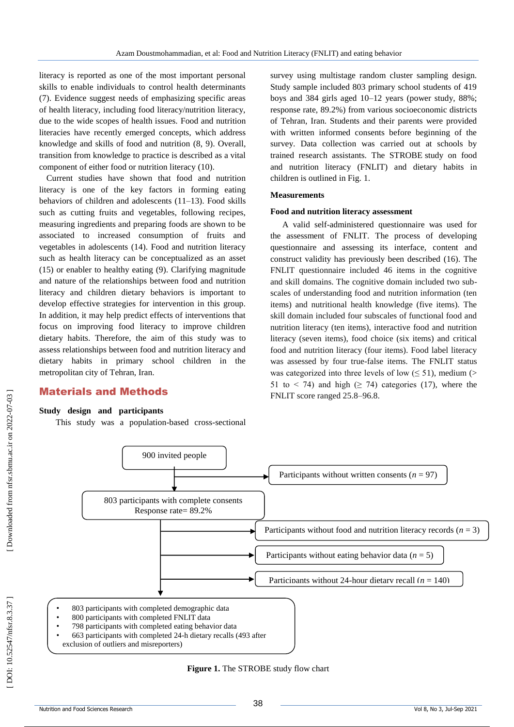literacy is reported as one of the most important personal skills to enable individuals to control health determinants (7). Evidence suggest needs of emphasizing specific areas of health literacy, including food literacy/nutrition literacy, due to the wide scopes of health issues. Food and nutrition literacies have recently emerged concepts, which address knowledge and skills of food and nutrition ( 8, 9 ). Overall, transition from knowledge to practice is described as a vital component of either food or nutrition literacy (10 ) .

Current studies have shown that food and nutrition literacy is one of the key factors in forming eating behaviors of children and adolescents (11 –13 ) . Food skills such as cutting fruits and vegetables, following recipes, measuring ingredients and preparing foods are shown to be associated to increased consumption of fruits and vegetables in adolescents (14 ). Food and nutrition literacy such as health literacy can be conceptualized as an asset (15) or enabler to healthy eating (9). Clarifying magnitude and nature of the relationships between food and nutrition literacy and children dietary behaviors is important to develop effective strategies for intervention in this group. In addition, it may help predict effects of interventions that focus on improving food literacy to improve children dietary habits. Therefore, the aim of this study was to assess relationships between food and nutrition literacy and dietary habits in primary school children in the metropolitan city of Tehran, Iran.

### Material s and Methods

**Study design and participants**<br>This study was a population-based cross-sectional

survey using multistage random cluster sampling design. Study sample included 803 primary school students of 419 boys and 384 girls aged 10 –12 years (power study, 88%; response rate, 89.2%) from various socioeconomic districts of Tehran, Iran. Students and their parents were provided with written informed consents before beginning of the survey. Data collection was carried out at schools by trained research assistants. The STROBE study on food and nutrition literacy (FNLIT) and dietary habits in children is outlined in Fig. 1.

### **Measurements**

### **Food and nutrition literacy assessment**

A valid self-administered questionnaire was used for the assessment of FNLIT. The process of developing questionnaire and assessing its interface, content and construct validity has previously been described (16 ). The FNLIT questionnaire included 46 items in the cognitive and skill domains. The cognitive domain included two sub scales of understanding food and nutrition information (ten items) and nutritional health knowledge (five items). The skill domain included four subscales of functional food and nutrition literacy (ten items), interactive food and nutrition literacy (seven items), food choice (six items) and critical food and nutrition literacy (four items). Food label literacy was assessed by four true -false items. The FNLIT status was categorized into three levels of low  $(\leq 51)$ , medium (> 51 to < 74) and high  $(≥ 74)$  categories (17), where the FNLIT score ranged 25.8 –96.8.



**Figure 1.** The STROBE study flow chart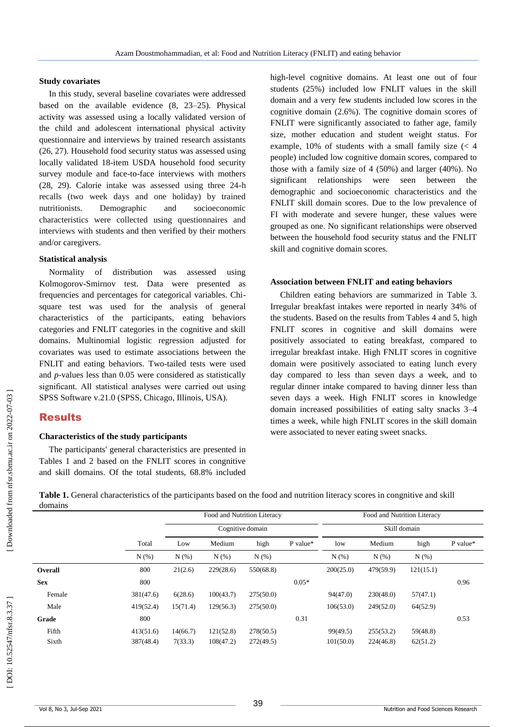### **Study covariates**

In this study, several baseline covariates were addressed based on the available evidence ( 8, 23 –25 ). Physical activity was assessed using a locally validated version of the child and adolescent international physical activity questionnaire and interviews by trained research assistants (26, 27). Household food security status was assessed using locally validated 18-item USDA household food security survey module and face -to -face interviews with mothers (28, 29 ) . Calorie intake was assessed using three 24 -h recalls (two week days and one holiday) by trained nutritionists. Demographic and socioeconomic characteristics were collected using questionnaires and interviews with students and then verified by their mothers and/or caregivers.

### **Statistical analysis**

Normality of distribution was assessed using Kolmogorov -Smirnov test. Data were presented as frequencies and percentages for categorical variables. Chi square test was used for the analysis of general characteristics of the participants, eating behaviors categories and FNLIT categories in the cognitive and skill domains. Multinomial logistic regression adjusted for covariates was used to estimate associations between the FNLIT and eating behaviors. Two -tailed tests were used and *p* -values less than 0.05 were considered as statistically significant. All statistical analyses were carried out using SPSS Software v.21.0 (SPSS, Chicago, Illinois, USA).

### Results

### **Characteristics of the study participants**

The participants' general characteristics are presented in Tables 1 and 2 based on the FNLIT scores in congnitive and skill domains. Of the total students, 68.8% included

high -level cognitive domains. At least one out of four students (25%) included low FNLIT values in the skill domain and a very few students included low scores in the cognitive domain (2.6%). The cognitive domain scores of FNLIT were significantly associated to father age, family size, mother education and student weight status. For example, 10% of students with a small family size (< 4 people) included low cognitive domain scores, compared to those with a family size of 4 (50%) and larger (40%). No significant relationships were seen between the demographic and socioeconomic characteristics and the FNLIT skill domain scores . Due to the low prevalence of FI with moderate and severe hunger, these values were grouped as one. No significant relationships were observed between the household food security status and the FNLIT skill and cognitive domain scores.

### **Association between FNLIT and eating behaviors**

Children eating behaviors are summarized in Table 3. Irregular breakfast intakes were reported in nearly 34% of the students. Based on the results from Tables 4 and 5, high FNLIT scores in cognitive and skill domains were positively associated to eating breakfast, compared to irregular breakfast intake. High FNLIT scores in cognitive domain were positively associated to eating lunch every day compared to less than seven days a week, and to regular dinner intake compared to having dinner less than seven days a week. High FNLIT scores in knowledge domain increased possibilities of eating salty snacks 3 –4 times a week, while high FNLIT scores in the skill domain were associated to never eating sweet snacks.

Food and Nutrition Literacy Food and Nutrition Literacy Cognitive domain Skill domain Total Low Medium high P value\* low Medium high P value\*  $N (\%)$   $N (\%)$   $N (\%)$   $N (\%)$   $N (\%)$   $N (\%)$   $N (\%)$   $N (\%)$ **Overall** 800 21(2.6) 229(28.6) 550(68.8) 200(25.0) 479(59.9) 121(15.1) **Sex** 800 800 0.05\* 0.96 Female 381(47.6) 6(28.6) 100(43.7) 275(50.0) 94(47.0) 230(48.0) 57(47.1)

Male 419(52.4) 15(71.4) 129(56.3) 275(50.0) 106(53.0) 249(52.0) 64(52.9) **Grade** 800 800 0.31 0.53 Fifth 413(51.6) 14(66.7) 121(52.8) 278(50.5) 99(49.5) 255(53.2) 59(48.8) Sixth 387(48.4) 7(33.3) 108(47.2) 272(49.5) 101(50.0) 224(46.8) 62(51.2)

Table 1. General characteristics of the participants based on the food and nutrition literacy scores in congnitive and skill domains

Downloaded from nfsr.sbmu.ac.ir on 2022-07-03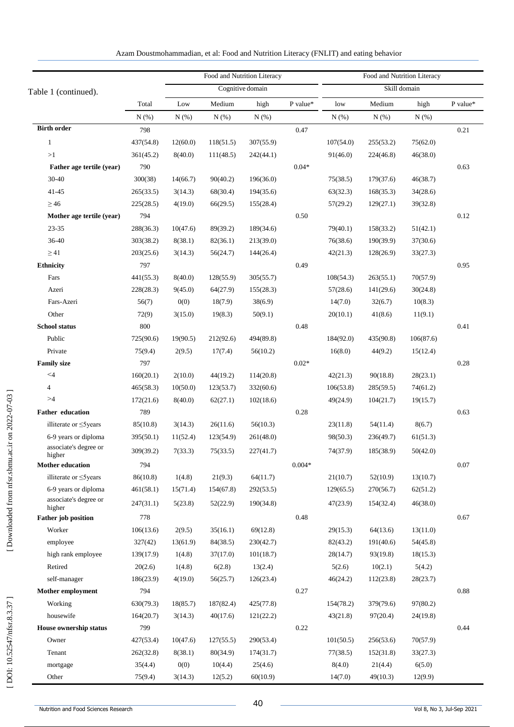|                                 |           |          |           | Food and Nutrition Literacy | Food and Nutrition Literacy |              |           |           |          |  |  |
|---------------------------------|-----------|----------|-----------|-----------------------------|-----------------------------|--------------|-----------|-----------|----------|--|--|
| Table 1 (continued).            |           |          |           | Cognitive domain            |                             | Skill domain |           |           |          |  |  |
|                                 | Total     | Low      | Medium    | high                        | P value*                    | low          | Medium    | high      | P value* |  |  |
|                                 | N(%)      | N(% )    | N(%)      | N(% )                       |                             | N(% )        | N(%)      | N(% )     |          |  |  |
| <b>Birth order</b>              | 798       |          |           |                             | 0.47                        |              |           |           | 0.21     |  |  |
| $\mathbf{1}$                    | 437(54.8) | 12(60.0) | 118(51.5) | 307(55.9)                   |                             | 107(54.0)    | 255(53.2) | 75(62.0)  |          |  |  |
| >1                              | 361(45.2) | 8(40.0)  | 111(48.5) | 242(44.1)                   |                             | 91(46.0)     | 224(46.8) | 46(38.0)  |          |  |  |
| Father age tertile (year)       | 790       |          |           |                             | $0.04*$                     |              |           |           | 0.63     |  |  |
| 30-40                           | 300(38)   | 14(66.7) | 90(40.2)  | 196(36.0)                   |                             | 75(38.5)     | 179(37.6) | 46(38.7)  |          |  |  |
| 41-45                           | 265(33.5) | 3(14.3)  | 68(30.4)  | 194(35.6)                   |                             | 63(32.3)     | 168(35.3) | 34(28.6)  |          |  |  |
| $\geq$ 46                       | 225(28.5) | 4(19.0)  | 66(29.5)  | 155(28.4)                   |                             | 57(29.2)     | 129(27.1) | 39(32.8)  |          |  |  |
| Mother age tertile (year)       | 794       |          |           |                             | 0.50                        |              |           |           | 0.12     |  |  |
| 23-35                           | 288(36.3) | 10(47.6) | 89(39.2)  | 189(34.6)                   |                             | 79(40.1)     | 158(33.2) | 51(42.1)  |          |  |  |
| 36-40                           | 303(38.2) | 8(38.1)  | 82(36.1)  | 213(39.0)                   |                             | 76(38.6)     | 190(39.9) | 37(30.6)  |          |  |  |
| $\geq$ 41                       | 203(25.6) | 3(14.3)  | 56(24.7)  | 144(26.4)                   |                             | 42(21.3)     | 128(26.9) | 33(27.3)  |          |  |  |
| <b>Ethnicity</b>                | 797       |          |           |                             | 0.49                        |              |           |           | 0.95     |  |  |
| Fars                            | 441(55.3) | 8(40.0)  | 128(55.9) | 305(55.7)                   |                             | 108(54.3)    | 263(55.1) | 70(57.9)  |          |  |  |
| Azeri                           | 228(28.3) | 9(45.0)  | 64(27.9)  | 155(28.3)                   |                             | 57(28.6)     | 141(29.6) | 30(24.8)  |          |  |  |
| Fars-Azeri                      | 56(7)     | 0(0)     | 18(7.9)   | 38(6.9)                     |                             | 14(7.0)      | 32(6.7)   | 10(8.3)   |          |  |  |
| Other                           | 72(9)     | 3(15.0)  | 19(8.3)   | 50(9.1)                     |                             | 20(10.1)     | 41(8.6)   | 11(9.1)   |          |  |  |
| <b>School status</b>            | 800       |          |           |                             | 0.48                        |              |           |           | 0.41     |  |  |
| Public                          | 725(90.6) | 19(90.5) | 212(92.6) | 494(89.8)                   |                             | 184(92.0)    | 435(90.8) | 106(87.6) |          |  |  |
| Private                         | 75(9.4)   | 2(9.5)   | 17(7.4)   | 56(10.2)                    |                             | 16(8.0)      | 44(9.2)   | 15(12.4)  |          |  |  |
| <b>Family size</b>              | 797       |          |           |                             | $0.02*$                     |              |           |           | 0.28     |  |  |
| $<$ 4                           | 160(20.1) | 2(10.0)  | 44(19.2)  | 114(20.8)                   |                             | 42(21.3)     | 90(18.8)  | 28(23.1)  |          |  |  |
| $\overline{4}$                  | 465(58.3) | 10(50.0) | 123(53.7) | 332(60.6)                   |                             | 106(53.8)    | 285(59.5) | 74(61.2)  |          |  |  |
| >4                              | 172(21.6) | 8(40.0)  | 62(27.1)  | 102(18.6)                   |                             | 49(24.9)     | 104(21.7) | 19(15.7)  |          |  |  |
| <b>Father education</b>         | 789       |          |           |                             | 0.28                        |              |           |           | 0.63     |  |  |
| illiterate or $\leq$ 5 years    | 85(10.8)  | 3(14.3)  | 26(11.6)  | 56(10.3)                    |                             | 23(11.8)     | 54(11.4)  | 8(6.7)    |          |  |  |
| 6-9 years or diploma            | 395(50.1) | 11(52.4) | 123(54.9) | 261(48.0)                   |                             | 98(50.3)     | 236(49.7) | 61(51.3)  |          |  |  |
| associate's degree or<br>higher | 309(39.2) | 7(33.3)  | 75(33.5)  | 227(41.7)                   |                             | 74(37.9)     | 185(38.9) | 50(42.0)  |          |  |  |
| <b>Mother education</b>         | 794       |          |           |                             | $0.004*$                    |              |           |           | $0.07\,$ |  |  |
| illiterate or $\leq$ 5 years    | 86(10.8)  | 1(4.8)   | 21(9.3)   | 64(11.7)                    |                             | 21(10.7)     | 52(10.9)  | 13(10.7)  |          |  |  |
| 6-9 years or diploma            | 461(58.1) | 15(71.4) | 154(67.8) | 292(53.5)                   |                             | 129(65.5)    | 270(56.7) | 62(51.2)  |          |  |  |
| associate's degree or<br>higher | 247(31.1) | 5(23.8)  | 52(22.9)  | 190(34.8)                   |                             | 47(23.9)     | 154(32.4) | 46(38.0)  |          |  |  |
| <b>Father</b> job position      | 778       |          |           |                             | 0.48                        |              |           |           | 0.67     |  |  |
| Worker                          | 106(13.6) | 2(9.5)   | 35(16.1)  | 69(12.8)                    |                             | 29(15.3)     | 64(13.6)  | 13(11.0)  |          |  |  |
| employee                        | 327(42)   | 13(61.9) | 84(38.5)  | 230(42.7)                   |                             | 82(43.2)     | 191(40.6) | 54(45.8)  |          |  |  |
| high rank employee              | 139(17.9) | 1(4.8)   | 37(17.0)  | 101(18.7)                   |                             | 28(14.7)     | 93(19.8)  | 18(15.3)  |          |  |  |
| Retired                         | 20(2.6)   | 1(4.8)   | 6(2.8)    | 13(2.4)                     |                             | 5(2.6)       | 10(2.1)   | 5(4.2)    |          |  |  |
| self-manager                    | 186(23.9) | 4(19.0)  | 56(25.7)  | 126(23.4)                   |                             | 46(24.2)     | 112(23.8) | 28(23.7)  |          |  |  |
| <b>Mother employment</b>        | 794       |          |           |                             | 0.27                        |              |           |           | 0.88     |  |  |
| Working                         | 630(79.3) | 18(85.7) | 187(82.4) | 425(77.8)                   |                             | 154(78.2)    | 379(79.6) | 97(80.2)  |          |  |  |
| housewife                       | 164(20.7) | 3(14.3)  | 40(17.6)  | 121(22.2)                   |                             | 43(21.8)     | 97(20.4)  | 24(19.8)  |          |  |  |
| <b>House ownership status</b>   | 799       |          |           |                             | 0.22                        |              |           |           | 0.44     |  |  |
| Owner                           | 427(53.4) | 10(47.6) | 127(55.5) | 290(53.4)                   |                             | 101(50.5)    | 256(53.6) | 70(57.9)  |          |  |  |
| Tenant                          | 262(32.8) | 8(38.1)  | 80(34.9)  | 174(31.7)                   |                             | 77(38.5)     | 152(31.8) | 33(27.3)  |          |  |  |
| mortgage                        | 35(4.4)   | 0(0)     | 10(4.4)   | 25(4.6)                     |                             | 8(4.0)       | 21(4.4)   | 6(5.0)    |          |  |  |
| Other                           | 75(9.4)   | 3(14.3)  | 12(5.2)   | 60(10.9)                    |                             | 14(7.0)      | 49(10.3)  | 12(9.9)   |          |  |  |

| Azam Doustmohammadian, et al: Food and Nutrition Literacy (FNLIT) and eating behavior |  |  |
|---------------------------------------------------------------------------------------|--|--|
|                                                                                       |  |  |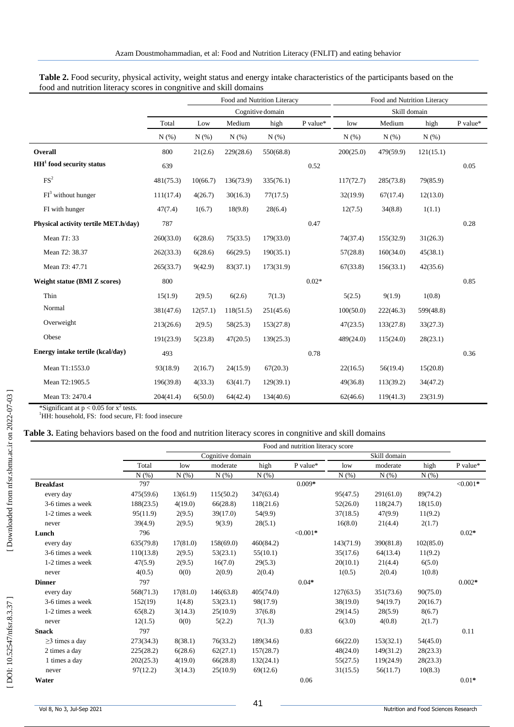|                                      |           |          |           | Food and Nutrition Literacy |          | Food and Nutrition Literacy |           |           |          |  |
|--------------------------------------|-----------|----------|-----------|-----------------------------|----------|-----------------------------|-----------|-----------|----------|--|
|                                      |           |          |           | Cognitive domain            |          | Skill domain                |           |           |          |  |
|                                      | Total     | Low      | Medium    | high                        | P value* | low                         | Medium    | high      | P value* |  |
|                                      | N(% )     | N(% )    | N(% )     | N(% )                       |          | N(% )                       | N(% )     | N(% )     |          |  |
| Overall                              | 800       | 21(2.6)  | 229(28.6) | 550(68.8)                   |          | 200(25.0)                   | 479(59.9) | 121(15.1) |          |  |
| $HH1$ food security status           | 639       |          |           |                             | 0.52     |                             |           |           | 0.05     |  |
| FS <sup>2</sup>                      | 481(75.3) | 10(66.7) | 136(73.9) | 335(76.1)                   |          | 117(72.7)                   | 285(73.8) | 79(85.9)  |          |  |
| $FI3$ without hunger                 | 111(17.4) | 4(26.7)  | 30(16.3)  | 77(17.5)                    |          | 32(19.9)                    | 67(17.4)  | 12(13.0)  |          |  |
| FI with hunger                       | 47(7.4)   | 1(6.7)   | 18(9.8)   | 28(6.4)                     |          | 12(7.5)                     | 34(8.8)   | 1(1.1)    |          |  |
| Physical activity tertile MET.h/day) | 787       |          |           |                             | 0.47     |                             |           |           | 0.28     |  |
| Mean T1:33                           | 260(33.0) | 6(28.6)  | 75(33.5)  | 179(33.0)                   |          | 74(37.4)                    | 155(32.9) | 31(26.3)  |          |  |
| Mean T2: 38.37                       | 262(33.3) | 6(28.6)  | 66(29.5)  | 190(35.1)                   |          | 57(28.8)                    | 160(34.0) | 45(38.1)  |          |  |
| Mean T3: 47.71                       | 265(33.7) | 9(42.9)  | 83(37.1)  | 173(31.9)                   |          | 67(33.8)                    | 156(33.1) | 42(35.6)  |          |  |
| <b>Weight statue (BMI Z scores)</b>  | 800       |          |           |                             | $0.02*$  |                             |           |           | 0.85     |  |
| Thin                                 | 15(1.9)   | 2(9.5)   | 6(2.6)    | 7(1.3)                      |          | 5(2.5)                      | 9(1.9)    | 1(0.8)    |          |  |
| Normal                               | 381(47.6) | 12(57.1) | 118(51.5) | 251(45.6)                   |          | 100(50.0)                   | 222(46.3) | 599(48.8) |          |  |
| Overweight                           | 213(26.6) | 2(9.5)   | 58(25.3)  | 153(27.8)                   |          | 47(23.5)                    | 133(27.8) | 33(27.3)  |          |  |
| Obese                                | 191(23.9) | 5(23.8)  | 47(20.5)  | 139(25.3)                   |          | 489(24.0)                   | 115(24.0) | 28(23.1)  |          |  |
| Energy intake tertile (kcal/day)     | 493       |          |           |                             | 0.78     |                             |           |           | 0.36     |  |
| Mean T1:1553.0                       | 93(18.9)  | 2(16.7)  | 24(15.9)  | 67(20.3)                    |          | 22(16.5)                    | 56(19.4)  | 15(20.8)  |          |  |
| Mean T2:1905.5                       | 196(39.8) | 4(33.3)  | 63(41.7)  | 129(39.1)                   |          | 49(36.8)                    | 113(39.2) | 34(47.2)  |          |  |
| Mean T3: 2470.4                      | 204(41.4) | 6(50.0)  | 64(42.4)  | 134(40.6)                   |          | 62(46.6)                    | 119(41.3) | 23(31.9)  |          |  |

Table 2. Food security, physical activity, weight status and energy intake characteristics of the participants based on the food and nutrition literacy scores in congnitive and skill domains

\*Significant at  $p < 0.05$  for  $x^2$  tests.

<sup>1</sup>HH: household, FS: food secure, FI: food insecure

### Table 3. Eating behaviors based on the food and nutrition literacy scores in congnitive and skill domains

|                      | Food and nutrition literacy score |          |                  |           |            |           |              |           |             |  |  |
|----------------------|-----------------------------------|----------|------------------|-----------|------------|-----------|--------------|-----------|-------------|--|--|
|                      |                                   |          | Cognitive domain |           |            |           | Skill domain |           |             |  |  |
|                      | Total                             | low      | moderate         | high      | P value*   | low       | moderate     | high      | P value*    |  |  |
|                      | N(% )                             | N(%)     | N(% )            | N(% )     |            | N(%)      | N(% )        | N(% )     |             |  |  |
| <b>Breakfast</b>     | 797                               |          |                  |           | $0.009*$   |           |              |           | ${<}0.001*$ |  |  |
| every day            | 475(59.6)                         | 13(61.9) | 115(50.2)        | 347(63.4) |            | 95(47.5)  | 291(61.0)    | 89(74.2)  |             |  |  |
| 3-6 times a week     | 188(23.5)                         | 4(19.0)  | 66(28.8)         | 118(21.6) |            | 52(26.0)  | 118(24.7)    | 18(15.0)  |             |  |  |
| 1-2 times a week     | 95(11.9)                          | 2(9.5)   | 39(17.0)         | 54(9.9)   |            | 37(18.5)  | 47(9.9)      | 11(9.2)   |             |  |  |
| never                | 39(4.9)                           | 2(9.5)   | 9(3.9)           | 28(5.1)   |            | 16(8.0)   | 21(4.4)      | 2(1.7)    |             |  |  |
| Lunch                | 796                               |          |                  |           | $< 0.001*$ |           |              |           | $0.02*$     |  |  |
| every day            | 635(79.8)                         | 17(81.0) | 158(69.0)        | 460(84.2) |            | 143(71.9) | 390(81.8)    | 102(85.0) |             |  |  |
| 3-6 times a week     | 110(13.8)                         | 2(9.5)   | 53(23.1)         | 55(10.1)  |            | 35(17.6)  | 64(13.4)     | 11(9.2)   |             |  |  |
| 1-2 times a week     | 47(5.9)                           | 2(9.5)   | 16(7.0)          | 29(5.3)   |            | 20(10.1)  | 21(4.4)      | 6(5.0)    |             |  |  |
| never                | 4(0.5)                            | 0(0)     | 2(0.9)           | 2(0.4)    |            | 1(0.5)    | 2(0.4)       | 1(0.8)    |             |  |  |
| <b>Dinner</b>        | 797                               |          |                  |           | $0.04*$    |           |              |           | $0.002*$    |  |  |
| every day            | 568(71.3)                         | 17(81.0) | 146(63.8)        | 405(74.0) |            | 127(63.5) | 351(73.6)    | 90(75.0)  |             |  |  |
| 3-6 times a week     | 152(19)                           | 1(4.8)   | 53(23.1)         | 98(17.9)  |            | 38(19.0)  | 94(19.7)     | 20(16.7)  |             |  |  |
| 1-2 times a week     | 65(8.2)                           | 3(14.3)  | 25(10.9)         | 37(6.8)   |            | 29(14.5)  | 28(5.9)      | 8(6.7)    |             |  |  |
| never                | 12(1.5)                           | 0(0)     | 5(2.2)           | 7(1.3)    |            | 6(3.0)    | 4(0.8)       | 2(1.7)    |             |  |  |
| <b>Snack</b>         | 797                               |          |                  |           | 0.83       |           |              |           | 0.11        |  |  |
| $\geq$ 3 times a day | 273(34.3)                         | 8(38.1)  | 76(33.2)         | 189(34.6) |            | 66(22.0)  | 153(32.1)    | 54(45.0)  |             |  |  |
| 2 times a day        | 225(28.2)                         | 6(28.6)  | 62(27.1)         | 157(28.7) |            | 48(24.0)  | 149(31.2)    | 28(23.3)  |             |  |  |
| 1 times a day        | 202(25.3)                         | 4(19.0)  | 66(28.8)         | 132(24.1) |            | 55(27.5)  | 119(24.9)    | 28(23.3)  |             |  |  |
| never                | 97(12.2)                          | 3(14.3)  | 25(10.9)         | 69(12.6)  |            | 31(15.5)  | 56(11.7)     | 10(8.3)   |             |  |  |
| Water                |                                   |          |                  |           | 0.06       |           |              |           | $0.01*$     |  |  |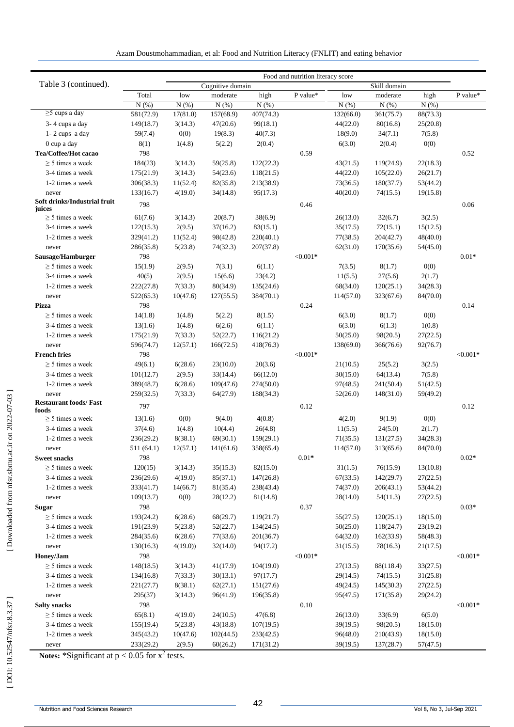|                                        | Food and nutrition literacy score |          |                      |                        |                  |           |                        |                      |                  |  |  |
|----------------------------------------|-----------------------------------|----------|----------------------|------------------------|------------------|-----------|------------------------|----------------------|------------------|--|--|
| Table 3 (continued).                   |                                   |          | Cognitive domain     |                        |                  |           | Skill domain           |                      |                  |  |  |
|                                        | Total                             | low      | moderate             | high                   | ${\bf P}$ value* | low       | moderate               | high                 | ${\bf P}$ value* |  |  |
|                                        | N(% )                             | N(% )    | $N(\%)$              | N(% )                  |                  | N(% )     | $N(\%)$                | N(% )                |                  |  |  |
| $\geq$ 5 cups a day                    | 581(72.9)                         | 17(81.0) | 157(68.9)            | 407(74.3)              |                  | 132(66.0) | 361(75.7)              | 88(73.3)             |                  |  |  |
| 3-4 cups a day                         | 149(18.7)                         | 3(14.3)  | 47(20.6)             | 99(18.1)               |                  | 44(22.0)  | 80(16.8)               | 25(20.8)             |                  |  |  |
| $1 - 2$ cups a day                     | 59(7.4)                           | 0(0)     | 19(8.3)              | 40(7.3)                |                  | 18(9.0)   | 34(7.1)                | 7(5.8)               |                  |  |  |
| 0 cup a day                            | 8(1)                              | 1(4.8)   | 5(2.2)               | 2(0.4)                 |                  | 6(3.0)    | 2(0.4)                 | 0(0)                 |                  |  |  |
| Tea/Coffee/Hot cacao                   | 798                               |          |                      |                        | 0.59             |           |                        |                      | 0.52             |  |  |
| $\geq$ 5 times a week                  | 184(23)                           | 3(14.3)  | 59(25.8)             | 122(22.3)              |                  | 43(21.5)  | 119(24.9)              | 22(18.3)             |                  |  |  |
| 3-4 times a week                       | 175(21.9)                         | 3(14.3)  | 54(23.6)             | 118(21.5)              |                  | 44(22.0)  | 105(22.0)              | 26(21.7)             |                  |  |  |
| 1-2 times a week                       | 306(38.3)                         | 11(52.4) | 82(35.8)             | 213(38.9)              |                  | 73(36.5)  | 180(37.7)              | 53(44.2)             |                  |  |  |
| never                                  | 133(16.7)                         | 4(19.0)  | 34(14.8)             | 95(17.3)               |                  | 40(20.0)  | 74(15.5)               | 19(15.8)             |                  |  |  |
| Soft drinks/Industrial fruit<br>juices | 798                               |          |                      |                        | 0.46             |           |                        |                      | 0.06             |  |  |
| $\geq$ 5 times a week                  | 61(7.6)                           | 3(14.3)  | 20(8.7)              | 38(6.9)                |                  | 26(13.0)  | 32(6.7)                | 3(2.5)               |                  |  |  |
| 3-4 times a week                       | 122(15.3)                         | 2(9.5)   | 37(16.2)             | 83(15.1)               |                  | 35(17.5)  | 72(15.1)               | 15(12.5)             |                  |  |  |
| 1-2 times a week                       | 329(41.2)                         | 11(52.4) | 98(42.8)             | 220(40.1)              |                  | 77(38.5)  | 204(42.7)              | 48(40.0)             |                  |  |  |
| never                                  | 286(35.8)                         | 5(23.8)  | 74(32.3)             | 207(37.8)              |                  | 62(31.0)  | 170(35.6)              | 54(45.0)             |                  |  |  |
| Sausage/Hamburger                      | 798                               |          |                      |                        | $< 0.001*$       |           |                        |                      | $0.01*$          |  |  |
| $\geq$ 5 times a week                  | 15(1.9)                           | 2(9.5)   | 7(3.1)               | 6(1.1)                 |                  | 7(3.5)    | 8(1.7)                 | 0(0)                 |                  |  |  |
| 3-4 times a week                       | 40(5)                             | 2(9.5)   | 15(6.6)              | 23(4.2)                |                  | 11(5.5)   | 27(5.6)                | 2(1.7)               |                  |  |  |
| 1-2 times a week                       | 222(27.8)                         | 7(33.3)  | 80(34.9)             | 135(24.6)              |                  | 68(34.0)  | 120(25.1)              | 34(28.3)             |                  |  |  |
| never                                  | 522(65.3)                         | 10(47.6) | 127(55.5)            | 384(70.1)              |                  | 114(57.0) | 323(67.6)              | 84(70.0)             |                  |  |  |
| <b>Pizza</b>                           | 798                               |          |                      |                        | 0.24             |           |                        |                      | 0.14             |  |  |
| $\geq$ 5 times a week                  | 14(1.8)                           | 1(4.8)   | 5(2.2)               | 8(1.5)                 |                  | 6(3.0)    | 8(1.7)                 | 0(0)                 |                  |  |  |
| 3-4 times a week                       | 13(1.6)                           | 1(4.8)   | 6(2.6)               | 6(1.1)                 |                  | 6(3.0)    | 6(1.3)                 | 1(0.8)               |                  |  |  |
| 1-2 times a week                       | 175(21.9)                         | 7(33.3)  | 52(22.7)             | 116(21.2)              |                  | 50(25.0)  | 98(20.5)               | 27(22.5)             |                  |  |  |
| never                                  | 596(74.7)                         | 12(57.1) | 166(72.5)            | 418(76.3)              |                  | 138(69.0) | 366(76.6)              | 92(76.7)             |                  |  |  |
| <b>French fries</b>                    | 798                               |          |                      |                        | $< 0.001*$       |           |                        |                      | ${<}0.001*$      |  |  |
| $\geq$ 5 times a week                  | 49(6.1)                           | 6(28.6)  | 23(10.0)             | 20(3.6)                |                  | 21(10.5)  | 25(5.2)                | 3(2.5)               |                  |  |  |
| 3-4 times a week                       | 101(12.7)                         | 2(9.5)   | 33(14.4)             | 66(12.0)               |                  | 30(15.0)  | 64(13.4)               | 7(5.8)               |                  |  |  |
| 1-2 times a week                       | 389(48.7)                         | 6(28.6)  | 109(47.6)            | 274(50.0)              |                  | 97(48.5)  | 241(50.4)              | 51(42.5)             |                  |  |  |
| never                                  | 259(32.5)                         | 7(33.3)  | 64(27.9)             | 188(34.3)              |                  | 52(26.0)  | 148(31.0)              | 59(49.2)             |                  |  |  |
| <b>Restaurant foods/Fast</b>           | 797                               |          |                      |                        | 0.12             |           |                        |                      | 0.12             |  |  |
| foods<br>$\geq$ 5 times a week         | 13(1.6)                           | 0(0)     | 9(4.0)               | 4(0.8)                 |                  | 4(2.0)    | 9(1.9)                 | 0(0)                 |                  |  |  |
| 3-4 times a week                       | 37(4.6)                           | 1(4.8)   | 10(4.4)              | 26(4.8)                |                  | 11(5.5)   | 24(5.0)                | 2(1.7)               |                  |  |  |
| 1-2 times a week                       | 236(29.2)                         | 8(38.1)  | 69(30.1)             | 159(29.1)              |                  | 71(35.5)  | 131(27.5)              | 34(28.3)             |                  |  |  |
|                                        | 511(64.1)                         | 12(57.1) | 141(61.6)            | 358(65.4)              |                  | 114(57.0) | 313(65.6)              | 84(70.0)             |                  |  |  |
| never<br><b>Sweet snacks</b>           | 798                               |          |                      |                        | $0.01*$          |           |                        |                      | $0.02*$          |  |  |
| $\geq$ 5 times a week                  | 120(15)                           | 3(14.3)  | 35(15.3)             | 82(15.0)               |                  | 31(1.5)   | 76(15.9)               | 13(10.8)             |                  |  |  |
| 3-4 times a week                       | 236(29.6)                         | 4(19.0)  |                      |                        |                  | 67(33.5)  |                        |                      |                  |  |  |
| 1-2 times a week                       | 333(41.7)                         | 14(66.7) | 85(37.1)<br>81(35.4) | 147(26.8)<br>238(43.4) |                  | 74(37.0)  | 142(29.7)<br>206(43.1) | 27(22.5)<br>53(44.2) |                  |  |  |
|                                        | 109(13.7)                         | 0(0)     | 28(12.2)             | 81(14.8)               |                  | 28(14.0)  | 54(11.3)               |                      |                  |  |  |
| never                                  | 798                               |          |                      |                        |                  |           |                        | 27(22.5)             | $0.03*$          |  |  |
| <b>Sugar</b><br>$\geq$ 5 times a week  | 193(24.2)                         |          |                      |                        | 0.37             |           |                        |                      |                  |  |  |
|                                        |                                   | 6(28.6)  | 68(29.7)             | 119(21.7)              |                  | 55(27.5)  | 120(25.1)              | 18(15.0)<br>23(19.2) |                  |  |  |
| 3-4 times a week                       | 191(23.9)                         | 5(23.8)  | 52(22.7)             | 134(24.5)              |                  | 50(25.0)  | 118(24.7)              |                      |                  |  |  |
| 1-2 times a week                       | 284(35.6)                         | 6(28.6)  | 77(33.6)             | 201(36.7)              |                  | 64(32.0)  | 162(33.9)              | 58(48.3)             |                  |  |  |
| never                                  | 130(16.3)                         | 4(19.0)  | 32(14.0)             | 94(17.2)               |                  | 31(15.5)  | 78(16.3)               | 21(17.5)             |                  |  |  |
| Honey/Jam                              | 798                               |          |                      |                        | $< 0.001*$       |           |                        |                      | ${<}0.001*$      |  |  |
| $\geq$ 5 times a week                  | 148(18.5)                         | 3(14.3)  | 41(17.9)             | 104(19.0)              |                  | 27(13.5)  | 88(118.4)              | 33(27.5)             |                  |  |  |
| 3-4 times a week                       | 134(16.8)                         | 7(33.3)  | 30(13.1)             | 97(17.7)               |                  | 29(14.5)  | 74(15.5)               | 31(25.8)             |                  |  |  |
| 1-2 times a week                       | 221(27.7)                         | 8(38.1)  | 62(27.1)             | 151(27.6)              |                  | 49(24.5)  | 145(30.3)              | 27(22.5)             |                  |  |  |
| never                                  | 295(37)                           | 3(14.3)  | 96(41.9)             | 196(35.8)              |                  | 95(47.5)  | 171(35.8)              | 29(24.2)             |                  |  |  |
| <b>Salty snacks</b>                    | 798                               |          |                      |                        | $0.10\,$         |           |                        |                      | $< 0.001*$       |  |  |
| $\geq$ 5 times a week                  | 65(8.1)                           | 4(19.0)  | 24(10.5)             | 47(6.8)                |                  | 26(13.0)  | 33(6.9)                | 6(5.0)               |                  |  |  |
| 3-4 times a week                       | 155(19.4)                         | 5(23.8)  | 43(18.8)             | 107(19.5)              |                  | 39(19.5)  | 98(20.5)               | 18(15.0)             |                  |  |  |
| 1-2 times a week                       | 345(43.2)                         | 10(47.6) | 102(44.5)            | 233(42.5)              |                  | 96(48.0)  | 210(43.9)              | 18(15.0)             |                  |  |  |
| never<br>$*$ $C:  : C:$                | 233(29.2)                         | 2(9.5)   | 60(26.2)             | 171(31.2)              |                  | 39(19.5)  | 137(28.7)              | 57(47.5)             |                  |  |  |

**Notes:** \*Significant at  $p < 0.05$  for  $x^2$  tests.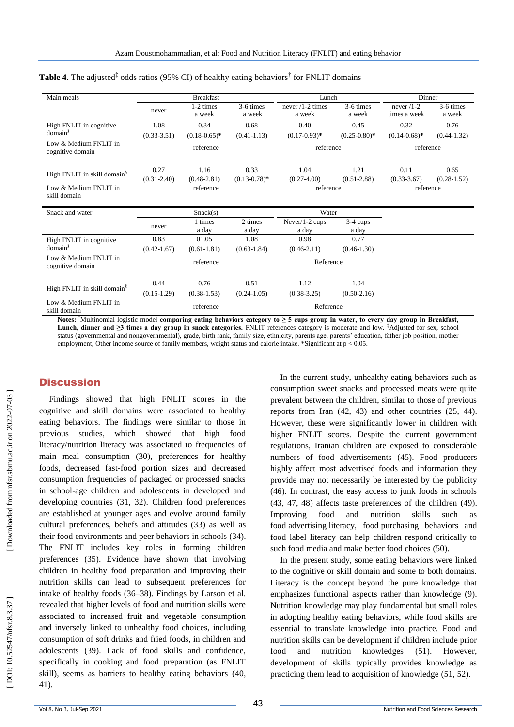| Main meals                                |                 | <b>Breakfast</b><br>Lunch |                   |                            |                     |                   | Dinner          |
|-------------------------------------------|-----------------|---------------------------|-------------------|----------------------------|---------------------|-------------------|-----------------|
|                                           | never           | 1-2 times                 | 3-6 times         | never $/1-2$ times         | 3-6 times           | never $/1-2$      | 3-6 times       |
|                                           |                 | a week                    | a week            | a week                     | a week              | times a week      | a week          |
| High FNLIT in cognitive                   | 1.08            | 0.34                      | 0.68              | 0.40                       | 0.45                | 0.32              | 0.76            |
| domain <sup>§</sup>                       | $(0.33 - 3.51)$ | $(0.18 - 0.65)^*$         | $(0.41 - 1.13)$   | $(0.17 - 0.93)^*$          | $(0.25 - 0.80)^*$   | $(0.14 - 0.68)$ * | $(0.44 - 1.32)$ |
| Low & Medium FNLIT in<br>cognitive domain |                 | reference                 |                   | reference                  |                     | reference         |                 |
| High FNLIT in skill domain <sup>§</sup>   | 0.27            | 1.16                      | 0.33              | 1.04                       | 1.21                | 0.11              | 0.65            |
|                                           | $(0.31 - 2.40)$ | $(0.48 - 2.81)$           | $(0.13 - 0.78)$ * | $(0.27-4.00)$<br>reference | $(0.51 - 2.88)$     | $(0.33 - 3.67)$   | $(0.28 - 1.52)$ |
| Low & Medium FNLIT in<br>skill domain     |                 | reference                 |                   |                            | reference           |                   |                 |
| Snack and water                           |                 | Snack(s)                  |                   | Water                      |                     |                   |                 |
|                                           | never           | 1 times<br>a day          | 2 times<br>a day  | Never/1-2 cups<br>a day    | $3-4$ cups<br>a day |                   |                 |
| High FNLIT in cognitive                   | 0.83            | 01.05                     | 1.08              | 0.98                       | 0.77                |                   |                 |
| domain <sup>§</sup>                       | $(0.42 - 1.67)$ | $(0.61 - 1.81)$           | $(0.63 - 1.84)$   | $(0.46 - 2.11)$            | $(0.46 - 1.30)$     |                   |                 |
| Low & Medium FNLIT in<br>cognitive domain |                 | reference                 |                   | Reference                  |                     |                   |                 |
|                                           | 0.44            | 0.76                      | 0.51              | 1.12                       | 1.04                |                   |                 |
| High FNLIT in skill domain <sup>§</sup>   | $(0.15-1.29)$   | $(0.38 - 1.53)$           | $(0.24 - 1.05)$   | $(0.38 - 3.25)$            | $(0.50-2.16)$       |                   |                 |
| Low & Medium FNLIT in<br>skill domain     |                 | reference                 |                   | Reference                  |                     |                   |                 |

### Table 4. The adjusted<sup>‡</sup> odds ratios (95% CI) of healthy eating behaviors<sup>†</sup> for FNLIT domains

**Notes:** †Multinomial logistic model **comparing eating behaviors category to ≥ 5 cups group in water, to every day group in Breakfast, Lunch, dinner and ≥3 times a day group in snack categories.** FNLIT references category is moderate and low. ‡Adjusted for sex, school status (governmental and nongovernmental), grade, birth rank, family size, ethnicity, parents age, parents' education, father job position, mother employment, Other income source of family members, weight status and calorie intake. \*Significant at  $p < 0.05$ .

### **Discussion**

Findings showed that high FNLIT scores in the cognitive and skill domains were associated to healthy eating behaviors. The findings were similar to those in previous studies, which showed that high food literacy/nutrition literacy was associated to frequencies of main meal consumption (30 ), preferences for healthy foods, decreased fast -food portion sizes and decreased consumption frequencies of packaged or processed snacks in school -age children and adolescents in developed and developing countries (31, 32 ) . Children food preferences are established at younger ages and evolve around family cultural preferences, beliefs and attitudes (33 ) as well as their food environments and peer behaviors in schools (34 ). The FNLIT includes key roles in forming children preferences (35 ). Evidence have shown that involving children in healthy food preparation and improving their nutrition skills can lead to subsequent preferences for intake of healthy foods (36 –38 ). Findings by Larson et al. revealed that higher levels of food and nutrition skills were associated to increased fruit and vegetable consumption and inversely linked to unhealthy food choices, including consumption of soft drinks and fried foods, in children and adolescents (39 ). Lack of food skills and confidence, specifically in cooking and food preparation (as FNLIT skill), seems as barriers to healthy eating behaviors (40, 41 ) .

In the current study, unhealthy eating behaviors such as consumption sweet snacks and processed meats were quite prevalent between the children, similar to those of previous reports from Iran (42, 43 ) and other countries (25, 44 ). However, these were significantly lower in children with higher FNLIT scores. Despite the current government regulations, Iranian children are exposed to considerable numbers of food advertisements (45 ). Food producers highly affect most advertised foods and information they provide may not necessarily be interested by the publicity (46). In contrast, the easy access to junk foods in schools (43, 47, 48) affects taste preferences of the children (49). Improving food and nutrition skills such as food advertising literacy, food purchasing behaviors and food label literacy can help children respond critically to such food media and make better food choices (50 ).

In the present study, some eating behaviors were linked to the cognitive or skill domain and some to both domains. Literacy is the concept beyond the pure knowledge that emphasizes functional aspects rather than knowledge (9). Nutrition knowledge may play fundamental but small roles in adopting healthy eating behaviors, while food skills are essential to translate knowledge into practice. Food and nutrition skills can be development if children include prior food and nutrition knowledges  $(51)$ . ). However, development of skills typically provides knowledge as practicing them lead to acquisition of knowledge (51, 52).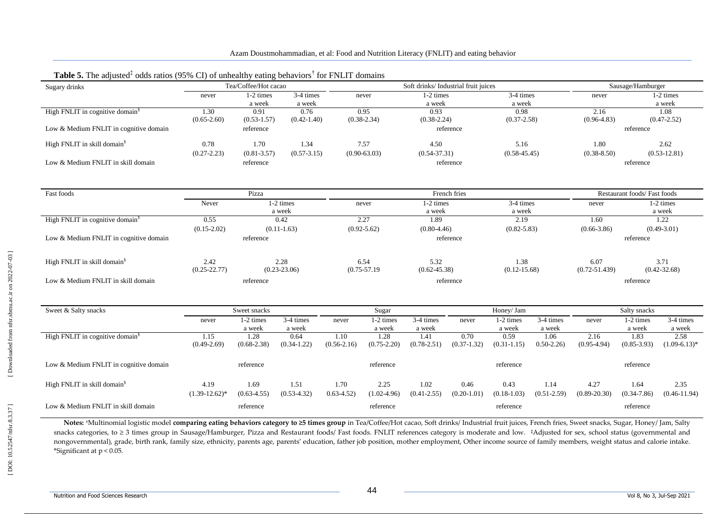| Sugary drinks                               | Tea/Coffee/Hot cacao |                     | Soft drinks/ Industrial fruit juices |                              |                     |                     |                 |                     | Sausage/Hamburger   |                             |                                       |                     |  |
|---------------------------------------------|----------------------|---------------------|--------------------------------------|------------------------------|---------------------|---------------------|-----------------|---------------------|---------------------|-----------------------------|---------------------------------------|---------------------|--|
|                                             | never                | 1-2 times           | 3-4 times                            |                              | never               | 1-2 times           |                 | 3-4 times           |                     | never                       |                                       | 1-2 times           |  |
|                                             |                      | a week              | a week                               |                              |                     | a week              |                 | a week              |                     |                             |                                       | a week              |  |
| High FNLIT in cognitive domain <sup>§</sup> | 1.30                 | 0.91                | 0.76                                 |                              | 0.95                | 0.93                |                 | 0.98                |                     | 2.16                        |                                       | 1.08                |  |
|                                             | $(0.65 - 2.60)$      | $(0.53 - 1.57)$     | $(0.42 - 1.40)$                      |                              | $(0.38 - 2.34)$     | $(0.38 - 2.24)$     |                 | $(0.37 - 2.58)$     |                     | $(0.96 - 4.83)$             |                                       | $(0.47 - 2.52)$     |  |
| Low & Medium FNLIT in cognitive domain      |                      | reference           |                                      |                              |                     |                     | reference       |                     |                     |                             | reference                             |                     |  |
| High FNLIT in skill domain <sup>§</sup>     | 0.78                 | 1.70                | 1.34                                 |                              | 7.57                | 4.50                |                 | 5.16                |                     | 1.80                        |                                       | 2.62                |  |
|                                             | $(0.27 - 2.23)$      | $(0.81 - 3.57)$     | $(0.57 - 3.15)$                      |                              | $(0.90 - 63.03)$    | $(0.54 - 37.31)$    |                 | $(0.58 - 45.45)$    |                     | $(0.38 - 8.50)$             |                                       | $(0.53 - 12.81)$    |  |
| Low & Medium FNLIT in skill domain          |                      | reference           |                                      |                              |                     |                     | reference       |                     |                     |                             | reference                             |                     |  |
|                                             |                      |                     |                                      |                              |                     |                     |                 |                     |                     |                             |                                       |                     |  |
| Fast foods                                  |                      | Pizza               |                                      |                              |                     |                     | French fries    |                     |                     | Restaurant foods/Fast foods |                                       |                     |  |
|                                             | Never                | 1-2 times<br>a week |                                      | 1-2 times<br>never<br>a week |                     | 3-4 times<br>a week |                 | never               | 1-2 times<br>a week |                             |                                       |                     |  |
| High FNLIT in cognitive domain <sup>§</sup> | 0.55                 |                     | 0.42                                 |                              | 2.27                | 1.89                | 2.19            |                     |                     | 1.60                        | 1.22                                  |                     |  |
|                                             | $(0.15 - 2.02)$      | $(0.11-1.63)$       |                                      | $(0.92 - 5.62)$              |                     | $(0.80 - 4.46)$     |                 | $(0.82 - 5.83)$     |                     | $(0.66 - 3.86)$             | $(0.49 - 3.01)$                       |                     |  |
| Low & Medium FNLIT in cognitive domain      |                      | reference           |                                      |                              |                     |                     | reference       |                     |                     |                             | reference                             |                     |  |
|                                             |                      |                     |                                      |                              |                     |                     |                 |                     |                     |                             |                                       |                     |  |
| High FNLIT in skill domain <sup>§</sup>     | 2.42                 |                     | 2.28                                 |                              | 6.54<br>5.32        |                     |                 | 1.38                |                     | 6.07                        | 3.71                                  |                     |  |
|                                             | $(0.25 - 22.77)$     |                     | $(0.23 - 23.06)$                     |                              | $(0.75 - 57.19)$    | $(0.62 - 45.38)$    |                 | $(0.12 - 15.68)$    |                     |                             | $(0.72 - 51.439)$<br>$(0.42 - 32.68)$ |                     |  |
| Low & Medium FNLIT in skill domain          |                      | reference           |                                      |                              |                     |                     | reference       |                     |                     |                             | reference                             |                     |  |
|                                             |                      |                     |                                      |                              |                     |                     |                 |                     |                     |                             |                                       |                     |  |
| Sweet & Salty snacks                        |                      | Sweet snacks        |                                      |                              | Sugar               |                     |                 | Honey/ Jam          |                     |                             | Salty snacks                          |                     |  |
|                                             | never                | 1-2 times<br>a week | 3-4 times<br>a week                  | never                        | 1-2 times<br>a week | 3-4 times<br>a week | never           | 1-2 times<br>a week | 3-4 times<br>a week | never                       | 1-2 times<br>a week                   | 3-4 times<br>a week |  |
| High FNLIT in cognitive domain <sup>§</sup> | 1.15                 | 1.28                | 0.64                                 | 1.10                         | 1.28                | 1.41                | 0.70            | 0.59                | 1.06                | 2.16                        | 1.83                                  | 2.58                |  |
|                                             | $(0.49 - 2.69)$      | $(0.68 - 2.38)$     | $(0.34 - 1.22)$                      | $(0.56 - 2.16)$              | $(0.75 - 2.20)$     | $(0.78 - 2.51)$     | $(0.37 - 1.32)$ | $(0.31 - 1.15)$     | $0.50 - 2.26$       | $(0.95-4.94)$               | $(0.85 - 3.93)$                       | $(1.09-6.13)*$      |  |
| Low & Medium FNLIT in cognitive domain      |                      | reference           |                                      |                              | reference           |                     |                 | reference           |                     |                             | reference                             |                     |  |
|                                             |                      |                     |                                      |                              |                     |                     |                 |                     |                     |                             |                                       |                     |  |
| High FNLIT in skill domain <sup>§</sup>     | 4.19                 | 1.69                | 1.51                                 | 1.70                         | 2.25                | 1.02                | 0.46            | 0.43                | 1.14                | 4.27                        | 1.64                                  | 2.35                |  |
|                                             | $(1.39-12.62)^*$     | $(0.63 - 4.55)$     | $(0.53-4.32)$                        | $0.63 - 4.52$                | $(1.02-4.96)$       | $(0.41 - 2.55)$     | $(0.20-1.01)$   | $(0.18-1.03)$       | $(0.51 - 2.59)$     | $(0.89 - 20.30)$            | $(0.34 - 7.86)$                       | $(0.46 - 11.94)$    |  |
| Low & Medium FNLIT in skill domain          |                      | reference           |                                      |                              | reference           |                     |                 | reference           |                     |                             | reference                             |                     |  |

### Table 5. The adjusted<sup>‡</sup> odds ratios (95% CI) of unhealthy eating behaviors<sup>†</sup> for FNLIT domains

**Notes:** †Multinomial logistic model **comparing eating behaviors category to ≥5 times group** in Tea/Coffee/Hot cacao, Soft drinks/ Industrial fruit juices, French fries, Sweet snacks, Sugar, Honey/ Jam, Salty snacks categories, to ≥ 3 times group in Sausage/Hamburger, Pizza and Restaurant foods/ Fast foods. FNLIT references category is moderate and low. ‡Adjusted for sex, school status (governmental and nongovernmental), grade, birth rank, family size, ethnicity, parents age, parents' education, father job position, mother employment, Other income source of family members, weight status and calorie intake. \*Significant at p < 0.05.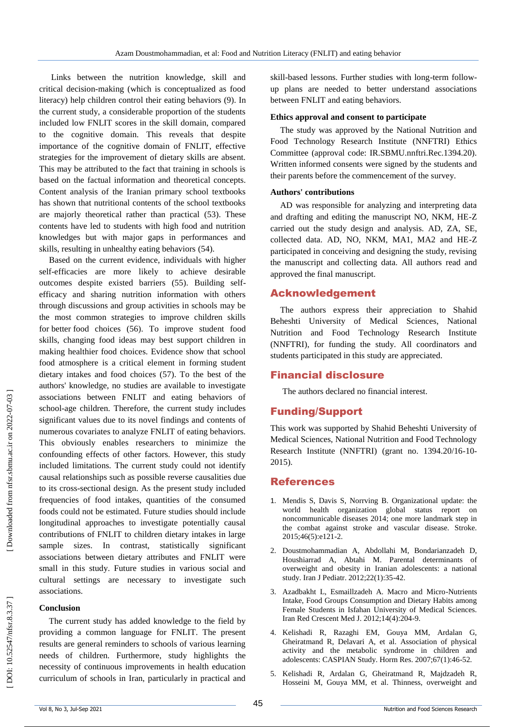Links between the nutrition knowledge, skill and critical decision -making (which is conceptualized as food literacy) help children control their eating behaviors ( 9 ). In the current study, a considerable proportion of the students included low FNLIT scores in the skill domain, compared to the cognitive domain. This reveals that despite importance of the cognitive domain of FNLIT, effective strategies for the improvement of dietary skills are absent. This may be attributed to the fact that training in schools is based on the factual information and theoretical concepts. Content analysis of the Iranian primary school textbooks has shown that nutritional contents of the school textbooks are majorly theoretical rather than practical (53 ). These contents have led to students with high food and nutrition knowledges but with major gaps in performances and skills, resulting in unhealthy eating behaviors (54 ).

Based on the current evidence, individuals with higher self-efficacies are more likely to achieve desirable outcomes despite existed barriers (55 ). Building selfefficacy and sharing nutrition information with others through discussions and group activities in schools may be the most common strategies to improve children skills for better food choices (56 ). To improve student food skills, changing food ideas may best support children in making healthier food choices. Evidence show that school food atmosphere is a critical element in forming student dietary intakes and food choices (57 ). To the best of the authors' knowledge, no studies are available to investigate associations between FNLIT and eating behaviors of school -age children. Therefore, the current study includes significant values due to its novel findings and contents of numerous covariates to analyze FNLIT of eating behaviors. This obviously enables researchers to minimize the confounding effects of other factors. However, this study included limitations. The current study could not identify causal relationships such as possible reverse causalities due to its cross -sectional design. As the present study included frequencies of food intakes, quantities of the consumed foods could not be estimated. Future studies should include longitudinal approaches to investigate potentially causal contributions of FNLIT to children dietary intakes in large sample sizes. In contrast, statistically significant associations between dietary attributes and FNLIT were small in this study. Future studies in various social and cultural settings are necessary to investigate such associations.

### **Conclusion**

The current study has added knowledge to the field by providing a common language for FNLIT. The present results are general reminders to schools of various learning needs of children. Furthermore, study highlights the necessity of continuous improvements in health education curriculum of schools in Iran, particularly in practical and

skill -based lessons. Further studies with long -term follow up plans are needed to better understand associations between FNLIT and eating behaviors.

### **Ethics approval and consent to participate**

The study was approved by the National Nutrition and Food Technology Research Institute (NNFTRI) Ethics Committee (approval code: IR.SBMU.nnftri.Rec.1394.20). Written informed consents were signed by the students and their parents before the commencement of the survey.

### **Authors' contributions**

AD was responsible for analyzing and interpreting data and drafting and editing the manuscript NO, NKM, HE -Z carried out the study design and analysis. AD, ZA, SE, collected data. AD, NO, NKM, MA1, MA2 and HE -Z participated in conceiving and designing the study, revising the manuscript and collecting data. All authors read and approved the final manuscript .

### Acknowledgement

The authors express their appreciation to Shahid Beheshti University of Medical Sciences, National Nutrition and Food Technology Research Institute (NNFTRI), for funding the study. All coordinators and students participated in this study are appreciated.

### Financial disclosure

The authors declared no financial interest.

### Funding/Support

This work was supported by Shahid Beheshti University of Medical Sciences, National Nutrition and Food Technology Research Institute (NNFTRI) (grant no. 1394.20/16-10-2015).

### References

- 1. Mendis S, Davis S, Norrving B. Organizational update: the world health organization global status report on noncommunicable diseases 2014; one more landmark step in the combat against stroke and vascular disease. Stroke. 2015;46(5):e121 -2.
- 2. Doustmohammadian A, Abdollahi M, Bondarianzadeh D, Houshiarrad A, Abtahi M. Parental determinants of overweight and obesity in Iranian adolescents: a national study. Iran J Pediatr. 2012;22(1):35 -42.
- 3. Azadbakht L, Esmaillzadeh A. Macro and Micro -Nutrients Intake, Food Groups Consumption and Dietary Habits among Female Students in Isfahan University of Medical Sciences. Iran Red Crescent Med J. 2012;14(4):204 -9.
- 4. Kelishadi R, Razaghi EM, Gouya MM, Ardalan G, Gheiratmand R, Delavari A, et al. Association of physical activity and the metabolic syndrome in children and adolescents: CASPIAN Study. Horm Res. 2007;67(1):46 -52.
- 5. Kelishadi R, Ardalan G, Gheiratmand R, Majdzadeh R, Hosseini M, Gouya MM, et al. Thinness, overweight and

# DOI: 10.52547/nfsr.8.3.37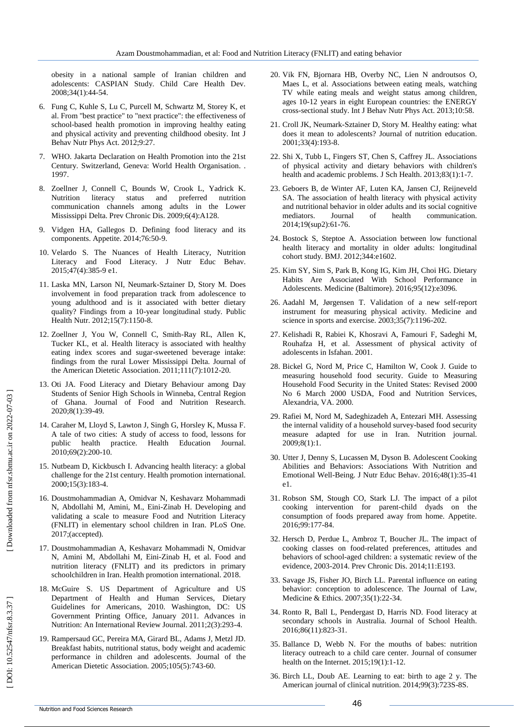obesity in a national sample of Iranian children and adolescents: CASPIAN Study. Child Care Health Dev. 2008;34(1):44 -54.

- 6. Fung C, Kuhle S, Lu C, Purcell M, Schwartz M, Storey K, et al. From "best practice" to "next practice": the effectiveness of school -based health promotion in improving healthy eating and physical activity and preventing childhood obesity. Int J Behav Nutr Phys Act. 2012;9:27.
- 7. WHO. Jakarta Declaration on Health Promotion into the 21st Century. Switzerland, Geneva: World Health Organisation. . 1997.
- 8. Zoellner J, Connell C, Bounds W, Crook L, Yadrick K. Nutrition literacy status and preferred nutrition communication channels among adults in the Lower Mississippi Delta. Prev Chronic Dis. 2009;6(4):A128.
- Vidgen HA, Gallegos D. Defining food literacy and its components. Appetite. 2014;76:50 -9.
- 10. Velardo S. The Nuances of Health Literacy, Nutrition Literacy and Food Literacy. J Nutr Educ Behav. 2015;47(4):385 -9 e1.
- 11. Laska MN, Larson NI, Neumark -Sztainer D, Story M. Does involvement in food preparation track from adolescence to young adulthood and is it associated with better dietary quality? Findings from a 10 -year longitudinal study. Public Health Nutr. 2012;15(7):1150 -8.
- 12. Zoellner J, You W, Connell C, Smith -Ray RL, Allen K, Tucker KL, et al. Health literacy is associated with healthy eating index scores and sugar -sweetened beverage intake: findings from the rural Lower Mississippi Delta. Journal of the American Dietetic Association. 2011;111(7):1012 -20.
- 13. Oti JA. Food Literacy and Dietary Behaviour among Day Students of Senior High Schools in Winneba, Central Region of Ghana. Journal of Food and Nutrition Research. 2020;8(1):39 -49.
- 14. Caraher M, Lloyd S, Lawton J, Singh G, Horsley K, Mussa F. A tale of two cities: A study of access to food, lessons for public health practice. Health Education Journal. 2010;69(2):200 -10.
- 15. Nutbeam D, Kickbusch I. Advancing health literacy: a global challenge for the 21st century. Health promotion international. 2000;15(3):183 -4.
- 16. Doustmohammadian A, Omidvar N, Keshavarz Mohammadi N, Abdollahi M, Amini, M., Eini -Zinab H. Developing and validating a scale to measure Food and Nutrition Literacy (FNLIT) in elementary school children in Iran. PLoS One. 2017;(accepted).
- 17. Doustmohammadian A, Keshavarz Mohammadi N, Omidvar N, Amini M, Abdollahi M, Eini -Zinab H, et al. Food and nutrition literacy (FNLIT) and its predictors in primary schoolchildren in Iran. Health promotion international. 2018.
- 18. McGuire S. US Department of Agriculture and US Department of Health and Human Services, Dietary Guidelines for Americans, 2010. Washington, DC: US Government Printing Office, January 2011. Advances in Nutrition: An International Review Journal. 2011;2(3):293 -4.
- 19. Rampersaud GC, Pereira MA, Girard BL, Adams J, Metzl JD. Breakfast habits, nutritional status, body weight and academic performance in children and adolescents. Journal of the American Dietetic Association. 2005;105(5):743 -60.
- 20. Vik FN, Bjornara HB, Overby NC, Lien N androutsos O, Maes L, et al. Associations between eating meals, watching TV while eating meals and weight status among children, ages 10 -12 years in eight European countries: the ENERGY cross -sectional study. Int J Behav Nutr Phys Act. 2013;10:58.
- 21. Croll JK, Neumark -Sztainer D, Story M. Healthy eating: what does it mean to adolescents? Journal of nutrition education. 2001;33(4):193 -8.
- 22. Shi X, Tubb L, Fingers ST, Chen S, Caffrey JL. Associations of physical activity and dietary behaviors with children's health and academic problems. J Sch Health. 2013;83(1):1 -7.
- 23. Geboers B, de Winter AF, Luten KA, Jansen CJ, Reijneveld SA. The association of health literacy with physical activity and nutritional behavior in older adults and its social cognitive<br>mediators. Journal of health communication. mediators. Journal of health communication. 2014;19(sup2):61 -76.
- 24. Bostock S, Steptoe A. Association between low functional health literacy and mortality in older adults: longitudinal cohort study. BMJ. 2012;344:e1602.
- 25. Kim SY, Sim S, Park B, Kong IG, Kim JH, Choi HG. Dietary Habits Are Associated With School Performance in Adolescents. Medicine (Baltimore). 2016;95(12):e3096.
- 26. Aadahl M, Jørgensen T. Validation of a new self -report instrument for measuring physical activity. Medicine and science in sports and exercise. 2003;35(7):1196 -202.
- 27. Kelishadi R, Rabiei K, Khosravi A, Famouri F, Sadeghi M, Rouhafza H, et al. Assessment of physical activity of adolescents in Isfahan. 2001.
- 28. Bickel G, Nord M, Price C, Hamilton W, Cook J. Guide to measuring household food security. Guide to Measuring Household Food Security in the United States: Revised 2000 No 6 March 2000 USDA, Food and Nutrition Services, Alexandria, VA. 2000.
- 29. Rafiei M, Nord M, Sadeghizadeh A, Entezari MH. Assessing the internal validity of a household survey -based food security measure adapted for use in Iran. Nutrition journal. 2009;8(1):1.
- 30. Utter J, Denny S, Lucassen M, Dyson B. Adolescent Cooking Abilities and Behaviors: Associations With Nutrition and Emotional Well -Being. J Nutr Educ Behav. 2016;48(1):35 -41 e1.
- 31. Robson SM, Stough CO, Stark LJ. The impact of a pilot cooking intervention for parent -child dyads on the consumption of foods prepared away from home. Appetite. 2016;99:177 -84.
- 32. Hersch D, Perdue L, Ambroz T, Boucher JL. The impact of cooking classes on food -related preferences, attitudes and behaviors of school -aged children: a systematic review of the evidence, 2003 -2014. Prev Chronic Dis. 2014;11:E193.
- 33. Savage JS, Fisher JO, Birch LL. Parental influence on eating behavior: conception to adolescence. The Journal of Law, Medicine & Ethics. 2007;35(1):22 -34.
- 34. Ronto R, Ball L, Pendergast D, Harris ND. Food literacy at secondary schools in Australia. Journal of School Health. 2016;86(11):823 -31.
- 35. Ballance D, Webb N. For the mouths of babes: nutrition literacy outreach to a child care center. Journal of consumer health on the Internet. 2015;19(1):1 -12.
- 36. Birch LL, Doub AE. Learning to eat: birth to age 2 y. The American journal of clinical nutrition. 2014;99(3):723S -8S.

DOI: 10.52547/nfsr.8.3.37